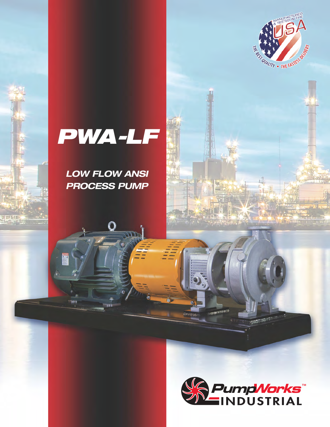

# *PWA-LF*

*LOW FLOW ANSI PROCESS PUMP*

O

 $\overline{\mathsf{T}}$ 

 $\Omega$ 

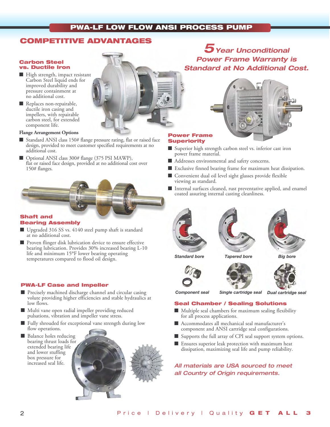# **COMPETITIVE ADVANTAGES**

### **Carbon Steel vs. Ductile Iron**

- $\blacksquare$  High strength, impact resistant Carbon Steel liquid ends for improved durability and pressure containment at no additional cost.
- 
- Replaces non-repairable, ductile iron casing and impellers, with repairable carbon steel, for extended component life.

### **Flange Arrangement Options**

- Standard ANSI class 150# flange pressure rating, flat or raised face design, provided to meet customer specified requirements at no additional cost.
- n Optional ANSI class 300# flange (375 PSI MAWP), flat or raised face design, provided at no additional cost over 150# flanges.

### **Shaft and Bearing Assembly**

- $\blacksquare$  Upgraded 316 SS vs. 4140 steel pump shaft is standard at no additional cost.
- Proven flinger disk lubrication device to ensure effective bearing lubrication. Provides 30% increased bearing L-10 life and minimum 15ºF lower bearing operating temperatures compared to flood oil design.

### **PWA-LF Case and Impeller**

- Precisely machined discharge channel and circular casing volute providing higher efficiencies and stable hydraulics at low flows.
- $\blacksquare$  Multi vane open radial impeller providing reduced pulsations, vibration and impeller vane stress.
- Fully shrouded for exceptional vane strength during low flow operations.
- Balance holes reducing bearing thrust loads for extended bearing life and lower stuffing box pressure for increased seal life.





*5Year Unconditional Power Frame Warranty is* 

#### **Power Frame Superiority**

- Superior high strength carbon steel vs. inferior cast iron power frame material.
- Addresses environmental and safety concerns.
- Exclusive finned bearing frame for maximum heat dissipation.
- Convenient dual oil level sight glasses provide flexible viewing as standard.
- Internal surfaces cleaned, rust preventative applied, and enamel coated assuring internal casting cleanliness.









*Component seal Single cartridge seal Dual cartridge seal*

### **Seal Chamber / Sealing Solutions**

- $\blacksquare$  Multiple seal chambers for maximum sealing flexibility for all process applications.
- n Accommodates all mechanical seal manufacturer's component and ANSI cartridge seal configurations.
- Supports the full array of CPI seal support system options.
- Ensures superior leak protection with maximum heat dissipation, maximizing seal life and pump reliability.

*All materials are USA sourced to meet all Country of Origin requirements.*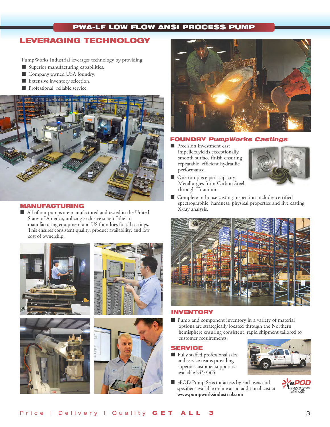# **LEVERAGING TECHNOLOGY**

PumpWorks Industrial leverages technology by providing:

- $\blacksquare$  Superior manufacturing capabilities.
- Company owned USA foundry.
- $\blacksquare$  Extensive inventory selection.
- **n** Professional, reliable service.



### **MANUFACTURING**

n All of our pumps are manufactured and tested in the United States of America, utilizing exclusive state-of-the-art manufacturing equipment and US foundries for all castings. This ensures consistent quality, product availability, and low cost of ownership.









### **FOUNDRY** *PumpWorks Castings*

**n** Precision investment cast impellers yields exceptionally smooth surface finish ensuring repeatable, efficient hydraulic performance.



- One ton piece part capacity. Metallurgies from Carbon Steel through Titanium.
- Complete in house casting inspection includes certified spectrographic, hardness, physical properties and live casting X-ray analysis.



### **INVENTORY**

■ Pump and component inventory in a variety of material options are strategically located through the Northern hemisphere ensuring consistent, rapid shipment tailored to customer requirements.

### **SERVICE**

- Fully staffed professional sales and service teams providing superior customer support is available 24/7/365.
- **n** ePOD Pump Selector access by end users and specifiers available online at no additional cost at **www.pumpworksindustrial.com**



**X**ePOD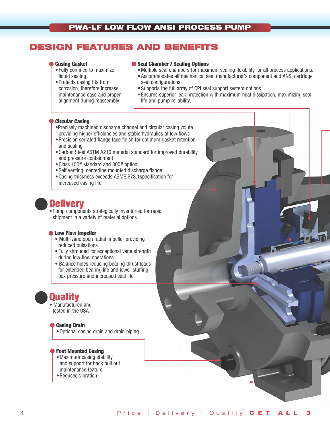# **DESIGN FEATURES AND BENEFITS**

### **Casing Gasket**

- •Fully confined to maximize liquid sealing
- •Protects casing fits from corrosion, therefore increase maintenance ease and proper alignment during reassembly

### **Seal Chamber / Sealing Options**

- •Multiple seal chambers for maximum sealing flexibility for all process applications.
- •Accommodates all mechanical seal manufacturer's component and ANSI cartridge seal configurations
- •Supports the full array of CPI seal support system options
- •Ensures superior leak protection with maximum heat dissipation, maximizing seal life and pump reliability.

### **Circular Casing**

- •Precisely machined discharge channel and circular casing volute providing higher efficiencies and stable hydraulics at low flows
- •Precision serrated flange face finish for optimum gasket retention and sealing
- •Carbon Steel ASTM A216 material standard for improved durability and pressure containment
- •Class 150# standard and 300# option
- •Self venting, centerline mounted discharge flange
- •Casing thickness exceeds ASME B73.1specification for increased casing life

# **Delivery**

•Pump components strategically inventoried for rapid shipment in a variety of material options

### **Low Flow Impeller**

- Multi-vane open radial impeller providing reduced pulsations
- •Fully shrouded for exceptional vane strength during low flow operations
- Balance holes reducing bearing thrust loads for extended bearing life and lower stuffing box pressure and increased seal life

# **Quality**

• Manufactured and tested in the USA

### **Casing Drain**

•Optional casing drain and drain piping

### **Foot Mounted Casing**

- •Maximum casing stability and support for back pull out maintenance feature
- •Reduced vibration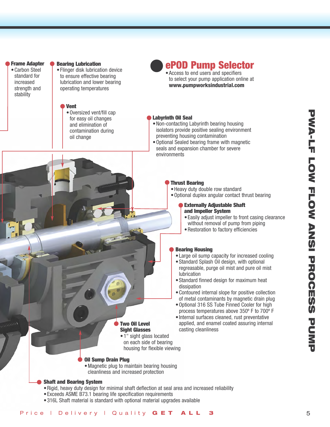#### **Frame Adapter**

•Carbon Steel standard for increased strength and stability

# **Bearing Lubrication**

•Flinger disk lubrication device to ensure effective bearing lubrication and lower bearing operating temperatures

### **Vent**

•Oversized vent/fill cap for easy oil changes and elimination of contamination during oil change

# **ePOD Pump Selector**

•Access to end users and specifiers to select your pump application online at **www.pumpworksindustrial.com**

### **Labyrinth Oil Seal**

- •Non-contacting Labyrinth bearing housing isolators provide positive sealing environment preventing housing contamination
- •Optional Sealed bearing frame with magnetic seals and expansion chamber for severe environments

### **Thrust Bearing**

•Heavy duty double row standard

•Optional duplex angular contact thrust bearing

### **Externally Adjustable Shaft and Impeller System**

- •Easily adjust impeller to front casing clearance without removal of pump from piping
- •Restoration to factory efficiencies

### **Bearing Housing**

- •Large oil sump capacity for increased cooling
- Standard Splash Oil design, with optional regreasable, purge oil mist and pure oil mist lubrication
- •Standard finned design for maximum heat dissipation
- •Contoured internal slope for positive collection of metal contaminants by magnetic drain plug
- •Optional 316 SS Tube Finned Cooler for high process temperatures above 350º F to 700º F
- •Internal surfaces cleaned, rust preventative applied, and enamel coated assuring internal casting cleanliness
- **Two Oil Level Sight Glasses** • 1" sight glass located
- on each side of bearing housing for flexible viewing

### **Oil Sump Drain Plug**

- •Magnetic plug to maintain bearing housing
- cleanliness and increased protection

### **Shaft and Bearing System**

- •Rigid, heavy duty design for minimal shaft deflection at seal area and increased reliability
- •Exceeds ASME B73.1 bearing life specification requirements
- •316L Shaft material is standard with optional material upgrades available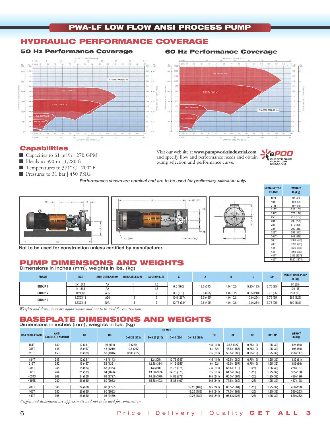### **HYDRAULIC PERFORMANCE COVERAGE**

### **50 Hz Performance Coverage**



Capacities to 61 m<sup>3</sup>/h | 270 GPM ■ Heads to 390 m | 1,280 ft  $\blacksquare$  Temperatures to 371° C | 700° F ■ Pressures to 31 bar | 450 PSIG

**Capabilities** 

### **60 Hz Performance Coverage**



Visit our web site at **www.pumpworksindustrial.com** and specify flow and performance needs and obtain pump selection and performance curve.



*Performances shown are nominal and are to be used for preliminary selection only.*





| <b>NEMA MOTOR</b><br><b>FRAME</b> | WEIGHT<br>lb (kg) |
|-----------------------------------|-------------------|
| 182T                              | 98 (45)           |
| 184T                              | 128 (58)          |
| 213T                              | 197 (89)          |
| 215T                              | 226 (103)         |
| 254T                              | 375 (170)         |
| 256T                              | 412 (187)         |
| 284T                              | 495 (225)         |
| 286T                              | 519 (235)         |
| 324T                              | 700 (318)         |
| 326T                              | 756 (343)         |
| 364T                              | 948 (430)         |
| 365T                              | 1009 (458)        |
| 405T                              | 1330 (603)        |
| 444T                              | 1820 (826)        |
| 445T                              | 1893 (859)        |
| 447T                              | 2343 (1073        |
| 449T                              | 3020 (1370)       |

**Not to be used for construction unless certified by manufacturer.**

### **PUMP DIMENSIONS AND WEIGHTS Dimensions in inches (mm), weights in lbs. (kg)**

| <b>FRAME</b>   | <b>SIZE</b> | <b>ANSI DESIGNATION</b> | <b>DISCHARGE SIZE</b> | <b>SUCTION SIZE</b> |             |            |            |           |           | <b>WEIGHT BARE PUMP</b><br>$Ib$ (kg) |         |
|----------------|-------------|-------------------------|-----------------------|---------------------|-------------|------------|------------|-----------|-----------|--------------------------------------|---------|
| <b>GROUP 1</b> | 1x1.5X4     | AA                      |                       | 1.5                 | 6.5(165)    |            | 13.5 (343) | 4.0(102)  | 5.25(133) | 3.75(95)                             | 84 (38) |
|                | 1x1.5X8     | AA                      |                       | ל.                  |             |            |            |           |           | 100(45)                              |         |
| <b>GROUP 2</b> | 1x2X10      | A05                     |                       |                     | 8.5(216)    | 19.5 (495) | 4.0 (102)  | 8.25(210) | 3.75(95)  | 200 (91)                             |         |
| <b>GROUP 3</b> | 1.5X3X13    | A20                     | l.b                   |                     | 10.5 (267)  | 19.5 (495) | 4.0(102)   | 10.0(254) | 3.75(95)  | 285 (129)                            |         |
|                | 1.5X3X15    | N/A                     | 1.5                   |                     | 12.75 (324) | 19.5 (495) | 4.0(102)   | 10.0(254) | 3.75(95)  | 400 (181)                            |         |

 *Weights and dimensions are approximate and not to be used for construction.*

#### **BASEPLATE DIMENSIONS AND WEIGHTS Dimensions in inches (mm), weights in lbs. (kg)**

| <b>MAX NEMA FRAME</b> | <b>ANSI</b><br><b>BASEPLATE NUMBER</b> | HA       | <b>HB</b> | <b>HD Max</b> |               |             |               |           |             |           |               |                          |
|-----------------------|----------------------------------------|----------|-----------|---------------|---------------|-------------|---------------|-----------|-------------|-----------|---------------|--------------------------|
|                       |                                        |          |           | $D=5.25(133)$ | $D=8.25(210)$ | $D=10(254)$ | $D=14.5(368)$ | <b>HE</b> | <b>HF</b>   | <b>HH</b> | <b>HP TYP</b> | <b>WEIGHT</b><br>lb (kg) |
| 184T                  | 139                                    | 12 (381) | 39 (991)  | 9(229)        |               |             |               | 4.5(114)  | 36.5 (927)  | 0.75(19)  | 1.25 (32)     | 124 (56)                 |
| 256T                  | 148                                    | 15 (457) | 48 (1219) | 10.5 (267)    |               |             |               | 6 (152)   | 45.5 (1156) | 0.75(19)  | 1.25 (32)     | 195 (89)                 |
| 326TS                 | 153                                    | 18 (533) | 53 (1346) | 12.88 (327)   |               |             |               | 7.5(191)  | 50.5 (1283) | 0.75(19)  | 1.25 (32)     | 258 (117)                |
| <b>184T</b>           | 245                                    | 12 (381) | 45 (1143) |               | 12 (305)      | 13.75 (349) |               | 4.5(114)  | 42.5 (1080) | 0.75(19)  | 1.25 (32)     | 133 (61)                 |
| 215T                  | 252                                    | 15 (457) | 52 (1321) |               | 12.38 (314)   | 14.13 (359) |               | 6(152)    | 49.5 (1257) | 0.75(19)  | 1.25 (32)     | 189 (86)                 |
| 286T                  | 258                                    | 18 (533) | 58 (1473) |               | 13 (330)      | 14.75 (375) |               | 7.5(191)  | 55.5 (1410) | 1(25)     | 1.25 (32)     | 278 (127)                |
| 365T                  | 264                                    | 21 (533) | 64 (1626) |               | 13.88 (353)   | 14.75 (375) |               | 7.5(191)  | 61.5 (1562) | 1(25)     | 1.25 (32)     | 395 (180)                |
| 405TS                 | 268                                    | 24 (660) | 68 (1727) |               | 14.88 (378)   | 14.88 (378) |               | 9.5(241)  | 65.5 (1664) | 1(25)     | 1.25 (32)     | 430 (196)                |
| 449TS                 | 280                                    | 26 (660) | 80 (2032) |               | 15.88 (403)   | 15.88 (403) |               | 9.5(241)  | 77.5 (1969) | 1(25)     | 1.25 (32)     | 437 (198)                |
|                       |                                        |          |           |               |               |             |               |           |             |           |               |                          |
| 286T                  | 368                                    | 24 (660) | 68 (1727) |               |               |             | 19.25 (489)   | 9.5(241)  | 65.5 (1664) | (25)      | 1.25(32)      | 456 (208)                |
| 405T                  | 380                                    | 26 (660) | 80 (2032) |               |               |             | 19.25 (489)   | 9.5(241)  | 77.5 (1969) | 1(25)     | 1.25 (32)     | 580 (263)                |
| 449T                  | 398                                    | 26 (660) | 98 (2489) |               |               |             | 19.25 (489)   | 9.5(241)  | 95.5 (2426) | (25)      | 1.25 (32)     | 839 (382)                |

*Weights and dimensions are approximate and not to be used for construction.*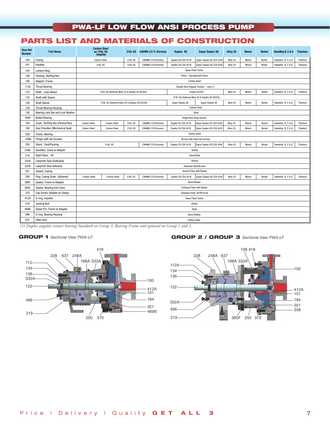# **PARTS LIST AND MATERIALS OF CONSTRUCTION**

| <b>Item Ref</b><br><b>Number</b> | <b>Part Name</b>                 | <b>Carbon Steel</b><br>w/316LSS<br><b>Impeller</b> | 316L SS                            | CA6NM (12 % Chrome) | <b>Duplex SS</b>              | <b>Super Duplex SS</b>                        | Alloy 20 | <b>Monel</b> | <b>Nickel</b> | Hastelloy B, C & G | <b>Titanium</b> |  |  |
|----------------------------------|----------------------------------|----------------------------------------------------|------------------------------------|---------------------|-------------------------------|-----------------------------------------------|----------|--------------|---------------|--------------------|-----------------|--|--|
| 100                              | Casing                           | <b>Carbon Steel</b>                                | 316L SS                            | CA6NM (12%Chrome)   | Duplex SS CD4 Gr1B            | Super Duplex SS CD4 Gr5A                      | Alloy 20 | Monel        | Nickel        | Hastelloy B, C & G | Titanium        |  |  |
| 101                              | Impeller                         | 316L SS                                            | 316L SS                            | CA6NM (12%Chrome)   | Duplex SS CD4 Gr1B            | Super Duplex SS CD4 Gr5A                      | Alloy 20 | Monel        | Nickel        | Hastelloy B, C & G | Titanium        |  |  |
| 105                              | <b>Lantern Ring</b>              | <b>Glass Filled Teflon</b>                         |                                    |                     |                               |                                               |          |              |               |                    |                 |  |  |
| 106                              | Packing, Stuffing Box            |                                                    | <b>Teflon - Impregnated Fibers</b> |                     |                               |                                               |          |              |               |                    |                 |  |  |
| 108                              | Adapter, Frame                   |                                                    | <b>Carbon Steel</b>                |                     |                               |                                               |          |              |               |                    |                 |  |  |
| 112A                             | <b>Thrust Bearing</b>            |                                                    |                                    |                     |                               | Double Row Angular Contact - note (1)         |          |              |               |                    |                 |  |  |
| 122                              | Shaft - Less Sleeve              | 316L SS (Optional Alloy 20 & Duplex SS A2205)      |                                    |                     |                               | Duplex A2205                                  | Alloy 20 | Monel        | Nickel        | Hastelloy B, C & G | Titanium        |  |  |
| 122                              | Shaft with Sleeve                |                                                    |                                    |                     |                               | 316L SS (Optional Alloy 20 & Duplex SS A2205) |          |              |               |                    |                 |  |  |
| 126                              | <b>Shaft Sleeve</b>              | 316L SS (Optional Alloy 20 & Duplex SS A2205)      |                                    |                     | Super Duplex SS               | <b>Super Duplex SS</b>                        | Alloy 20 | Monel        | Nickel        | Hastelloy B, C & G | Titanium        |  |  |
| 134                              | <b>Thrust Bearing Housing</b>    |                                                    |                                    |                     |                               | <b>Carbon Steel</b>                           |          |              |               |                    |                 |  |  |
| 136                              | Bearing Lock Nut and Lock Washer |                                                    | Steel                              |                     |                               |                                               |          |              |               |                    |                 |  |  |
| 168A                             | <b>Radial Bearing</b>            |                                                    |                                    |                     | Single Row Deep Groove        |                                               |          |              |               |                    |                 |  |  |
| 184                              | Cover, Stuffing Box (Packed Box) | <b>Carbon Steel</b><br><b>Carbon Steel</b>         | 316L SS                            | CA6NM (12%Chrome)   | Duplex SS CD4 Gr1B            | Super Duplex SS CD4 Gr5A                      | Alloy 20 | Monel        | Nickel        | Hastelloy B, C & G | Titanium        |  |  |
| 184                              | Seal Chamber (Mechanical Seal)   | <b>Carbon Steel</b><br><b>Carbon Steel</b>         | 316L SS                            | CA6NM (12%Chrome)   | Duplex SS CD4 Gr1B            | Super Duplex SS CD4 Gr5A                      | Alloy 20 | Monel        | Nickel        | Hastelloy B, C & G | Titanium        |  |  |
| 228                              | Frame, Bearing                   |                                                    |                                    |                     |                               | <b>Carbon Steel</b>                           |          |              |               |                    |                 |  |  |
| 248A                             | <b>Flinger with Set Screws</b>   |                                                    |                                    |                     |                               | <b>Bronze with Steel Set Screws</b>           |          |              |               |                    |                 |  |  |
| 250                              | Gland - Seal/Packing             | 316L SS                                            |                                    | CA6NM (12%Chrome)   | Duplex SS CD4 Gr1B            | Super Duplex SS CD4 Gr5A                      | Alloy 20 | Monel        | Nickel        | Hastelloy B, C & G | Titanium        |  |  |
| 370H                             | Stud/Nut, Cover to Adapter       |                                                    |                                    |                     | 304SS                         |                                               |          |              |               |                    |                 |  |  |
| 319                              | Sight Glass - Oil                |                                                    |                                    |                     |                               | Glass/Steel                                   |          |              |               |                    |                 |  |  |
| 332A                             | Labyrinth Seal (Outboard)        |                                                    |                                    |                     |                               | Bronze                                        |          |              |               |                    |                 |  |  |
| 333A                             | Labyrinth Seal (Inboard)         |                                                    |                                    |                     | <b>Stainless Steel/Bronze</b> |                                               |          |              |               |                    |                 |  |  |
| 351                              | Gasket, Casing                   |                                                    |                                    |                     | Aramid Fiber with Binder      |                                               |          |              |               |                    |                 |  |  |
| 358                              | Plug, Casing Drain (Optional)    | <b>Carbon Steel</b><br><b>Carbon Steel</b>         | 316L SS                            | CA6NM (12%Chrome)   | Duplex SS CD4 Gr1B            | Super Duplex SS CD4 Gr5A                      | Alloy 20 | Monel        | Nickel        | Hastelloy B, C & G | Titanium        |  |  |
| 360F                             | Gasket, Frame to Adapter         |                                                    |                                    |                     | <b>Buna Rubber</b>            |                                               |          |              |               |                    |                 |  |  |
| 360C                             | Gasket, Bearing End Cover        |                                                    | Cellulose Fiber with Binder        |                     |                               |                                               |          |              |               |                    |                 |  |  |
| 370                              | Cap Screw, Adapter to Casing     | Stainless Steel, ASTM A193                         |                                    |                     |                               |                                               |          |              |               |                    |                 |  |  |
| 412A                             | 0-ring, Impeller                 | <b>Glass Filled Teflon</b>                         |                                    |                     |                               |                                               |          |              |               |                    |                 |  |  |
| 418                              | <b>Jacking Bolt</b>              |                                                    | 304SS                              |                     |                               |                                               |          |              |               |                    |                 |  |  |
| 469B                             | Dowel Pin. Frame to Adapter      |                                                    | Steel                              |                     |                               |                                               |          |              |               |                    |                 |  |  |
| 496                              | 0-ring, Bearing Housing          |                                                    | <b>Buna Rubber</b>                 |                     |                               |                                               |          |              |               |                    |                 |  |  |
| 637                              | <b>Filter Vent</b>               |                                                    | <b>Carbon Steel</b>                |                     |                               |                                               |          |              |               |                    |                 |  |  |

*(1) Duplex angular contact bearing Standard on Group 3, Bearing Frame and optional on Group 1 and 2.*

### **GROUP 1** *Sectional View PWA–LF*



### **GROUP 2 / GROUP 3** *Sectional View PWA-LF*